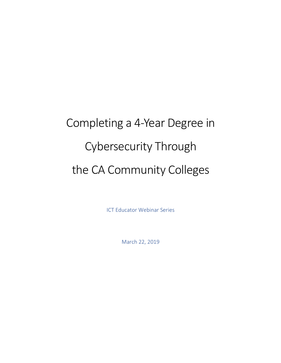# Completing a 4-Year Degree in Cybersecurity Through the CA Community Colleges

ICT Educator Webinar Series

March 22, 2019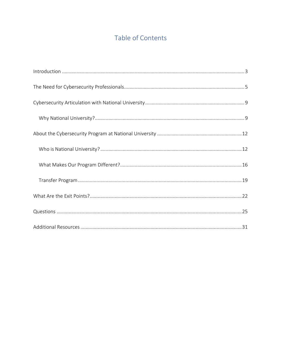# Table of Contents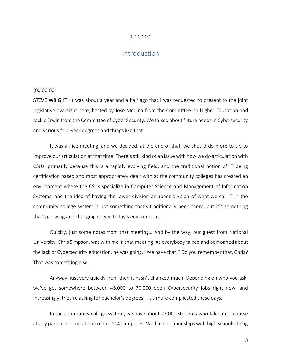## [00:00:00]

# **Introduction**

#### [00:00:00]

STEVE WRIGHT: It was about a year and a half ago that I was requested to present to the joint legislative oversight here, hosted by José Medina from the Committee on Higher Education and Jackie Erwin from the Committee of Cyber Security. We talked about future needs in Cybersecurity and various four-year degrees and things like that.

It was a nice meeting, and we decided, at the end of that, we should do more to try to improve our articulation at that time. There's still kind of an issue with how we do articulation with CSUs, primarily because this is a rapidly evolving field, and the traditional notion of IT being certification based and most appropriately dealt with at the community colleges has created an environment where the CSUs specialize in Computer Science and Management of Information Systems, and the idea of having the lower division or upper division of what we call IT in the community college system is not something that's traditionally been there, but it's something that's growing and changing now in today's environment.

Quickly, just some notes from that meeting… And by the way, our guest from National University, Chris Simpson, was with me in that meeting. As everybody talked and bemoaned about the lack of Cybersecurity education, he was going, "We have that!" Do you remember that, Chris? That was something else.

Anyway, just very quickly from then it hasn't changed much. Depending on who you ask, we've got somewhere between 45,000 to 70,000 open Cybersecurity jobs right now, and increasingly, they're asking for bachelor's degrees—it's more complicated these days.

In the community college system, we have about 27,000 students who take an IT course at any particular time at one of our 114 campuses. We have relationships with high schools doing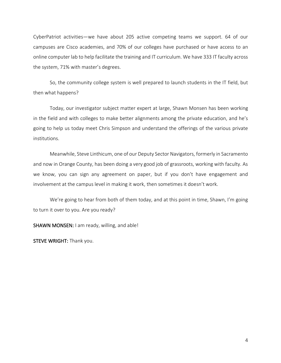CyberPatriot activities—we have about 205 active competing teams we support. 64 of our campuses are Cisco academies, and 70% of our colleges have purchased or have access to an online computer lab to help facilitate the training and IT curriculum. We have 333 IT faculty across the system, 71% with master's degrees.

So, the community college system is well prepared to launch students in the IT field, but then what happens?

Today, our investigator subject matter expert at large, Shawn Monsen has been working in the field and with colleges to make better alignments among the private education, and he's going to help us today meet Chris Simpson and understand the offerings of the various private institutions.

Meanwhile, Steve Linthicum, one of our Deputy Sector Navigators, formerly in Sacramento and now in Orange County, has been doing a very good job of grassroots, working with faculty. As we know, you can sign any agreement on paper, but if you don't have engagement and involvement at the campus level in making it work, then sometimes it doesn't work.

We're going to hear from both of them today, and at this point in time, Shawn, I'm going to turn it over to you. Are you ready?

SHAWN MONSEN: I am ready, willing, and able!

STEVE WRIGHT: Thank you.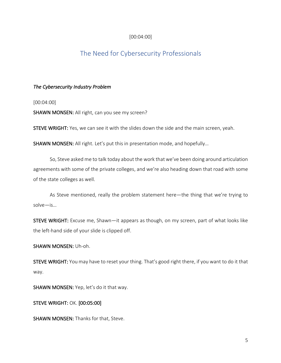# [00:04:00]

# The Need for Cybersecurity Professionals

# *The Cybersecurity Industry Problem*

[00:04:00]

SHAWN MONSEN: All right, can you see my screen?

STEVE WRIGHT: Yes, we can see it with the slides down the side and the main screen, yeah.

SHAWN MONSEN: All right. Let's put this in presentation mode, and hopefully…

So, Steve asked me to talk today about the work that we've been doing around articulation agreements with some of the private colleges, and we're also heading down that road with some of the state colleges as well.

As Steve mentioned, really the problem statement here—the thing that we're trying to solve—is…

STEVE WRIGHT: Excuse me, Shawn—it appears as though, on my screen, part of what looks like the left-hand side of your slide is clipped off.

SHAWN MONSEN: Uh-oh.

STEVE WRIGHT: You may have to reset your thing. That's good right there, if you want to do it that way.

SHAWN MONSEN: Yep, let's do it that way.

STEVE WRIGHT: OK. [00:05:00]

SHAWN MONSEN: Thanks for that, Steve.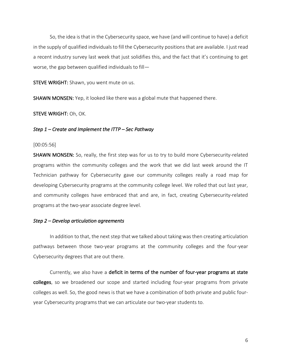So, the idea is that in the Cybersecurity space, we have (and will continue to have) a deficit in the supply of qualified individuals to fill the Cybersecurity positions that are available. I just read a recent industry survey last week that just solidifies this, and the fact that it's continuing to get worse, the gap between qualified individuals to fill—

STEVE WRIGHT: Shawn, you went mute on us.

SHAWN MONSEN: Yep, it looked like there was a global mute that happened there.

STEVE WRIGHT: Oh, OK.

#### *Step 1 – Create and Implement the ITTP – Sec Pathway*

#### [00:05:56]

SHAWN MONSEN: So, really, the first step was for us to try to build more Cybersecurity-related programs within the community colleges and the work that we did last week around the IT Technician pathway for Cybersecurity gave our community colleges really a road map for developing Cybersecurity programs at the community college level. We rolled that out last year, and community colleges have embraced that and are, in fact, creating Cybersecurity-related programs at the two-year associate degree level.

#### *Step 2 – Develop articulation agreements*

In addition to that, the next step that we talked about taking was then creating articulation pathways between those two-year programs at the community colleges and the four-year Cybersecurity degrees that are out there.

Currently, we also have a deficit in terms of the number of four-year programs at state colleges, so we broadened our scope and started including four-year programs from private colleges as well. So, the good news is that we have a combination of both private and public fouryear Cybersecurity programs that we can articulate our two-year students to.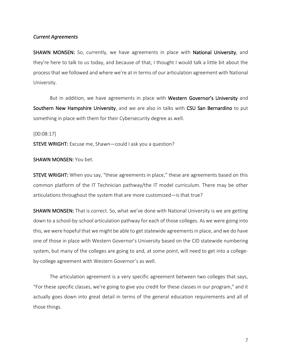#### *Current Agreements*

SHAWN MONSEN: So, currently, we have agreements in place with National University, and they're here to talk to us today, and because of that, I thought I would talk a little bit about the process that we followed and where we're at in terms of our articulation agreement with National University.

But in addition, we have agreements in place with Western Governor's University and Southern New Hampshire University, and we are also in talks with CSU San Bernardino to put something in place with them for their Cybersecurity degree as well.

#### [00:08:17]

STEVE WRIGHT: Excuse me, Shawn—could I ask you a question?

#### SHAWN MONSEN: You bet.

STEVE WRIGHT: When you say, "these agreements in place," these are agreements based on this common platform of the IT Technician pathway/the IT model curriculum. There may be other articulations throughout the system that are more customized—is that true?

SHAWN MONSEN: That is correct. So, what we've done with National University is we are getting down to a school-by-school articulation pathway for each of those colleges. As we were going into this, we were hopeful that we might be able to get statewide agreements in place, and we do have one of those in place with Western Governor's University based on the CID statewide numbering system, but many of the colleges are going to and, at some point, will need to get into a collegeby-college agreement with Western Governor's as well.

The articulation agreement is a very specific agreement between two colleges that says, "For these specific classes, we're going to give you credit for these classes in our program," and it actually goes down into great detail in terms of the general education requirements and all of those things.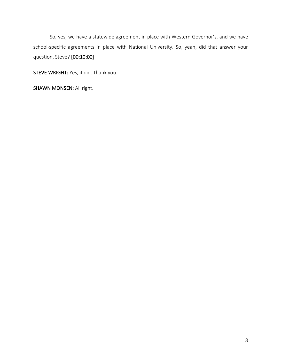So, yes, we have a statewide agreement in place with Western Governor's, and we have school-specific agreements in place with National University. So, yeah, did that answer your question, Steve? [00:10:00]

STEVE WRIGHT: Yes, it did. Thank you.

SHAWN MONSEN: All right.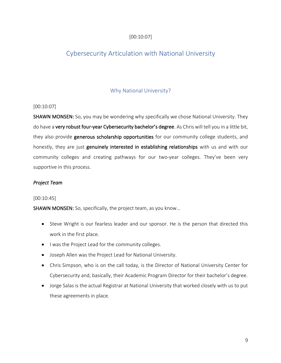# [00:10:07]

# Cybersecurity Articulation with National University

# Why National University?

# [00:10:07]

SHAWN MONSEN: So, you may be wondering why specifically we chose National University. They do have a very robust four-year Cybersecurity bachelor's degree. As Chris will tell you in a little bit, they also provide generous scholarship opportunities for our community college students, and honestly, they are just genuinely interested in establishing relationships with us and with our community colleges and creating pathways for our two-year colleges. They've been very supportive in this process.

# *Project Team*

## [00:10:45]

SHAWN MONSEN: So, specifically, the project team, as you know…

- Steve Wright is our fearless leader and our sponsor. He is the person that directed this work in the first place.
- I was the Project Lead for the community colleges.
- Joseph Allen was the Project Lead for National University.
- Chris Simpson, who is on the call today, is the Director of National University Center for Cybersecurity and, basically, their Academic Program Director for their bachelor's degree.
- Jorge Salas is the actual Registrar at National University that worked closely with us to put these agreements in place.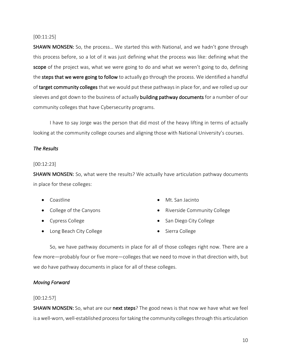## [00:11:25]

SHAWN MONSEN: So, the process… We started this with National, and we hadn't gone through this process before, so a lot of it was just defining what the process was like: defining what the scope of the project was, what we were going to do and what we weren't going to do, defining the steps that we were going to follow to actually go through the process. We identified a handful of target community colleges that we would put these pathways in place for, and we rolled up our sleeves and got down to the business of actually building pathway documents for a number of our community colleges that have Cybersecurity programs.

I have to say Jorge was the person that did most of the heavy lifting in terms of actually looking at the community college courses and aligning those with National University's courses.

# *The Results*

## [00:12:23]

SHAWN MONSEN: So, what were the results? We actually have articulation pathway documents in place for these colleges:

- Coastline
- College of the Canyons
- Cypress College
- Long Beach City College
- Mt. San Jacinto
- Riverside Community College
- San Diego City College
- Sierra College

So, we have pathway documents in place for all of those colleges right now. There are a few more—probably four or five more—colleges that we need to move in that direction with, but we do have pathway documents in place for all of these colleges.

## *Moving Forward*

## [00:12:57]

SHAWN MONSEN: So, what are our next steps? The good news is that now we have what we feel is a well-worn, well-established process for taking the community colleges through this articulation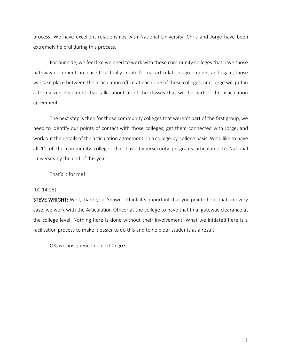process. We have excellent relationships with National University. Chris and Jorge have been extremely helpful during this process.

For our side, we feel like we need to work with those community colleges that have those pathway documents in place to actually create formal articulation agreements, and again, those will take place between the articulation office at each one of those colleges, and Jorge will put in a formalized document that talks about all of the classes that will be part of the articulation agreement.

The next step is then for those community colleges that weren't part of the first group, we need to identify our points of contact with those colleges, get them connected with Jorge, and work out the details of the articulation agreement on a college-by-college basis. We'd like to have all 11 of the community colleges that have Cybersecurity programs articulated to National University by the end of this year.

That's it for me!

#### [00:14:25]

STEVE WRIGHT: Well, thank you, Shawn. I think it's important that you pointed out that, in every case, we work with the Articulation Officer at the college to have that final gateway clearance at the college level. Nothing here is done without their involvement. What we initiated here is a facilitation process to make it easier to do this and to help our students as a result.

OK, is Chris queued up next to go?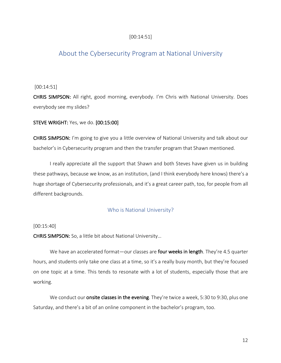# [00:14:51]

# About the Cybersecurity Program at National University

[00:14:51]

CHRIS SIMPSON: All right, good morning, everybody. I'm Chris with National University. Does everybody see my slides?

STEVE WRIGHT: Yes, we do. [00:15:00]

CHRIS SIMPSON: I'm going to give you a little overview of National University and talk about our bachelor's in Cybersecurity program and then the transfer program that Shawn mentioned.

I really appreciate all the support that Shawn and both Steves have given us in building these pathways, because we know, as an institution, (and I think everybody here knows) there's a huge shortage of Cybersecurity professionals, and it's a great career path, too, for people from all different backgrounds.

## Who is National University?

#### [00:15:40]

CHRIS SIMPSON: So, a little bit about National University…

We have an accelerated format-our classes are four weeks in length. They're 4.5 quarter hours, and students only take one class at a time, so it's a really busy month, but they're focused on one topic at a time. This tends to resonate with a lot of students, especially those that are working.

We conduct our onsite classes in the evening. They're twice a week, 5:30 to 9:30, plus one Saturday, and there's a bit of an online component in the bachelor's program, too.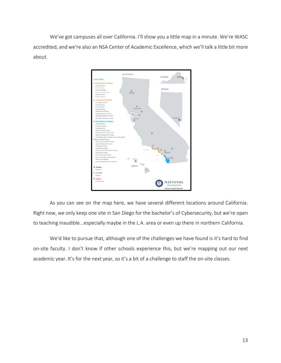We've got campuses all over California. I'll show you a little map in a minute. We're WASC accredited, and we're also an NSA Center of Academic Excellence, which we'll talk a little bit more about.



As you can see on the map here, we have several different locations around California. Right now, we only keep one site in San Diego for the bachelor's of Cybersecurity, but we're open to teaching inaudible...especially maybe in the L.A. area or even up there in northern California.

We'd like to pursue that, although one of the challenges we have found is it's hard to find on-site faculty. I don't know if other schools experience this, but we're mapping out our next academic year. It's for the next year, so it's a bit of a challenge to staff the on-site classes.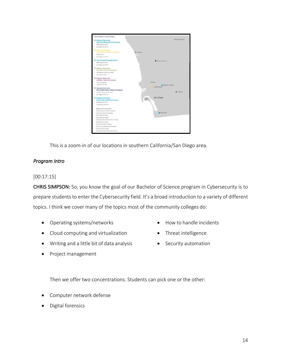

This is a zoom-in of our locations in southern California/San Diego area.

# *Program Intro*

## [00:17:15]

CHRIS SIMPSON: So, you know the goal of our Bachelor of Science program in Cybersecurity is to prepare students to enter the Cybersecurity field. It's a broad introduction to a variety of different topics. I think we cover many of the topics most of the community colleges do:

- Operating systems/networks
- Cloud computing and virtualization
- Writing and a little bit of data analysis
- Project management
- How to handle incidents
- Threat intelligence
- Security automation

Then we offer two concentrations. Students can pick one or the other:

- Computer network defense
- Digital forensics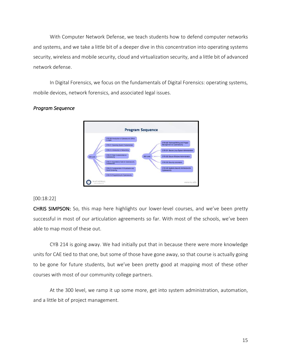With Computer Network Defense, we teach students how to defend computer networks and systems, and we take a little bit of a deeper dive in this concentration into operating systems security, wireless and mobile security, cloud and virtualization security, and a little bit of advanced network defense.

In Digital Forensics, we focus on the fundamentals of Digital Forensics: operating systems, mobile devices, network forensics, and associated legal issues.



# *Program Sequence*

#### [00:18:22]

CHRIS SIMPSON: So, this map here highlights our lower-level courses, and we've been pretty successful in most of our articulation agreements so far. With most of the schools, we've been able to map most of these out.

CYB 214 is going away. We had initially put that in because there were more knowledge units for CAE tied to that one, but some of those have gone away, so that course is actually going to be gone for future students, but we've been pretty good at mapping most of these other courses with most of our community college partners.

At the 300 level, we ramp it up some more, get into system administration, automation, and a little bit of project management.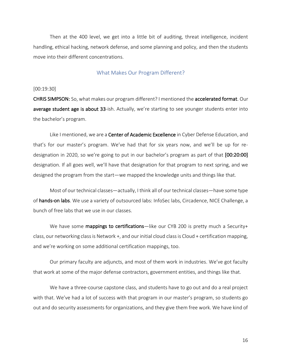Then at the 400 level, we get into a little bit of auditing, threat intelligence, incident handling, ethical hacking, network defense, and some planning and policy, and then the students move into their different concentrations.

#### What Makes Our Program Different?

#### [00:19:30]

CHRIS SIMPSON: So, what makes our program different? I mentioned the accelerated format. Our average student age is about 33-ish. Actually, we're starting to see younger students enter into the bachelor's program.

Like I mentioned, we are a Center of Academic Excellence in Cyber Defense Education, and that's for our master's program. We've had that for six years now, and we'll be up for redesignation in 2020, so we're going to put in our bachelor's program as part of that [00:20:00] designation. If all goes well, we'll have that designation for that program to next spring, and we designed the program from the start—we mapped the knowledge units and things like that.

Most of our technical classes—actually, I think all of our technical classes—have some type of hands-on labs. We use a variety of outsourced labs: InfoSec labs, Circadence, NICE Challenge, a bunch of free labs that we use in our classes.

We have some mappings to certifications—like our CYB 200 is pretty much a Security+ class, our networking class is Network +, and our initial cloud class is Cloud + certification mapping, and we're working on some additional certification mappings, too.

Our primary faculty are adjuncts, and most of them work in industries. We've got faculty that work at some of the major defense contractors, government entities, and things like that.

We have a three-course capstone class, and students have to go out and do a real project with that. We've had a lot of success with that program in our master's program, so students go out and do security assessments for organizations, and they give them free work. We have kind of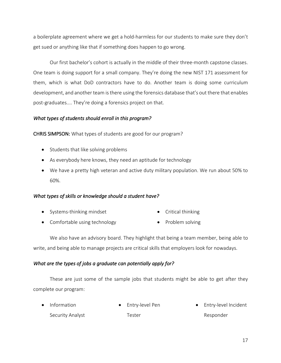a boilerplate agreement where we get a hold-harmless for our students to make sure they don't get sued or anything like that if something does happen to go wrong.

Our first bachelor's cohort is actually in the middle of their three-month capstone classes. One team is doing support for a small company. They're doing the new NIST 171 assessment for them, which is what DoD contractors have to do. Another team is doing some curriculum development, and another team is there using the forensics database that's out there that enables post-graduates.... They're doing a forensics project on that.

# *What types of students should enroll in this program?*

CHRIS SIMPSON: What types of students are good for our program?

- Students that like solving problems
- As everybody here knows, they need an aptitude for technology
- We have a pretty high veteran and active duty military population. We run about 50% to 60%.

# *What types of skills or knowledge should a student have?*

- Systems-thinking mindset • Critical thinking
- Comfortable using technology
- Problem solving

We also have an advisory board. They highlight that being a team member, being able to write, and being able to manage projects are critical skills that employers look for nowadays.

# *What are the types of jobs a graduate can potentially apply for?*

These are just some of the sample jobs that students might be able to get after they complete our program:

| $\bullet$ Information | • Entry-level Pen | • Entry-level Incident |
|-----------------------|-------------------|------------------------|
| Security Analyst      | Tester            | Responder              |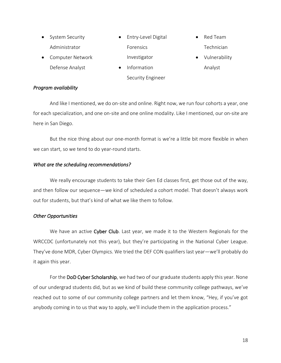- System Security Administrator • Computer Network • Entry-Level Digital Forensics Investigator • Red Team Technician
	- Defense Analyst
- Information

Security Engineer

- 
- Vulnerability Analyst

# *Program availability*

And like I mentioned, we do on-site and online. Right now, we run four cohorts a year, one for each specialization, and one on-site and one online modality. Like I mentioned, our on-site are here in San Diego.

But the nice thing about our one-month format is we're a little bit more flexible in when we can start, so we tend to do year-round starts.

# *What are the scheduling recommendations?*

We really encourage students to take their Gen Ed classes first, get those out of the way, and then follow our sequence—we kind of scheduled a cohort model. That doesn't always work out for students, but that's kind of what we like them to follow.

# *Other Opportunities*

We have an active Cyber Club. Last year, we made it to the Western Regionals for the WRCCDC (unfortunately not this year), but they're participating in the National Cyber League. They've done MDR, Cyber Olympics. We tried the DEF CON qualifiers last year—we'll probably do it again this year.

For the DoD Cyber Scholarship, we had two of our graduate students apply this year. None of our undergrad students did, but as we kind of build these community college pathways, we've reached out to some of our community college partners and let them know, "Hey, if you've got anybody coming in to us that way to apply, we'll include them in the application process."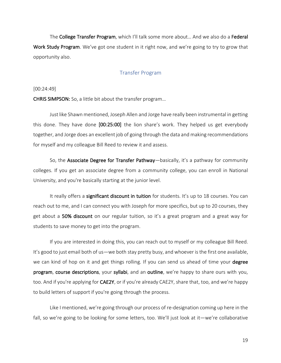The College Transfer Program, which I'll talk some more about… And we also do a Federal Work Study Program. We've got one student in it right now, and we're going to try to grow that opportunity also.

## Transfer Program

#### [00:24:49]

CHRIS SIMPSON: So, a little bit about the transfer program…

Just like Shawn mentioned, Joseph Allen and Jorge have really been instrumental in getting this done. They have done [00:25:00] the lion share's work. They helped us get everybody together, and Jorge does an excellent job of going through the data and making recommendations for myself and my colleague Bill Reed to review it and assess.

So, the Associate Degree for Transfer Pathway—basically, it's a pathway for community colleges. If you get an associate degree from a community college, you can enroll in National University, and you're basically starting at the junior level.

It really offers a significant discount in tuition for students. It's up to 18 courses. You can reach out to me, and I can connect you with Joseph for more specifics, but up to 20 courses, they get about a 50% discount on our regular tuition, so it's a great program and a great way for students to save money to get into the program.

If you are interested in doing this, you can reach out to myself or my colleague Bill Reed. It's good to just email both of us—we both stay pretty busy, and whoever is the first one available, we can kind of hop on it and get things rolling. If you can send us ahead of time your degree program, course descriptions, your syllabi, and an outline, we're happy to share ours with you, too. And if you're applying for CAE2Y, or if you're already CAE2Y, share that, too, and we're happy to build letters of support if you're going through the process.

Like I mentioned, we're going through our process of re-designation coming up here in the fall, so we're going to be looking for some letters, too. We'll just look at it—we're collaborative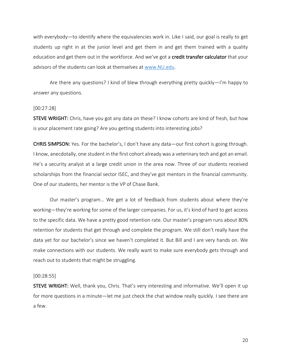with everybody—to identify where the equivalencies work in. Like I said, our goal is really to get students up right in at the junior level and get them in and get them trained with a quality education and get them out in the workforce. And we've got a credit transfer calculator that your advisors of the students can look at themselves at www.NU.edu.

Are there any questions? I kind of blew through everything pretty quickly—I'm happy to answer any questions.

#### [00:27:28]

STEVE WRIGHT: Chris, have you got any data on these? I know cohorts are kind of fresh, but how is your placement rate going? Are you getting students into interesting jobs?

CHRIS SIMPSON: Yes. For the bachelor's, I don't have any data—our first cohort is going through. I know, anecdotally, one student in the first cohort already was a veterinary tech and got an email. He's a security analyst at a large credit union in the area now. Three of our students received scholarships from the financial sector ISEC, and they've got mentors in the financial community. One of our students, her mentor is the VP of Chase Bank.

Our master's program… We get a lot of feedback from students about where they're working—they're working for some of the larger companies. For us, it's kind of hard to get access to the specific data. We have a pretty good retention rate. Our master's program runs about 80% retention for students that get through and complete the program. We still don't really have the data yet for our bachelor's since we haven't completed it. But Bill and I are very hands on. We make connections with our students. We really want to make sure everybody gets through and reach out to students that might be struggling.

#### [00:28:55]

STEVE WRIGHT: Well, thank you, Chris. That's very interesting and informative. We'll open it up for more questions in a minute—let me just check the chat window really quickly. I see there are a few.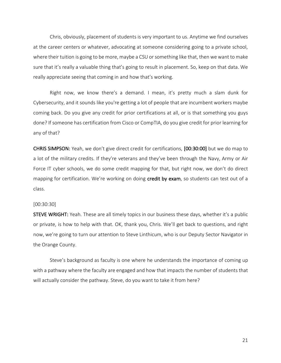Chris, obviously, placement of students is very important to us. Anytime we find ourselves at the career centers or whatever, advocating at someone considering going to a private school, where their tuition is going to be more, maybe a CSU or something like that, then we want to make sure that it's really a valuable thing that's going to result in placement. So, keep on that data. We really appreciate seeing that coming in and how that's working.

Right now, we know there's a demand. I mean, it's pretty much a slam dunk for Cybersecurity, and it sounds like you're getting a lot of people that are incumbent workers maybe coming back. Do you give any credit for prior certifications at all, or is that something you guys done? If someone has certification from Cisco or CompTIA, do you give credit for prior learning for any of that?

CHRIS SIMPSON: Yeah, we don't give direct credit for certifications, [00:30:00] but we do map to a lot of the military credits. If they're veterans and they've been through the Navy, Army or Air Force IT cyber schools, we do some credit mapping for that, but right now, we don't do direct mapping for certification. We're working on doing credit by exam, so students can test out of a class.

#### [00:30:30]

STEVE WRIGHT: Yeah. These are all timely topics in our business these days, whether it's a public or private, is how to help with that. OK, thank you, Chris. We'll get back to questions, and right now, we're going to turn our attention to Steve Linthicum, who is our Deputy Sector Navigator in the Orange County.

Steve's background as faculty is one where he understands the importance of coming up with a pathway where the faculty are engaged and how that impacts the number of students that will actually consider the pathway. Steve, do you want to take it from here?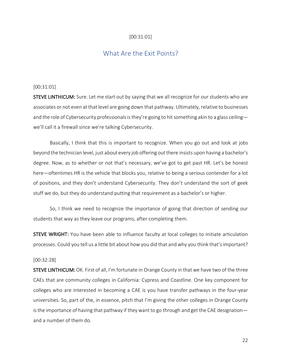# [00:31:01]

# What Are the Exit Points?

#### [00:31:01]

STEVE LINTHICUM: Sure. Let me start out by saying that we all recognize for our students who are associates or not even at that level are going down that pathway. Ultimately, relative to businesses and the role of Cybersecurity professionals is they're going to hit something akin to a glass ceiling we'll call it a firewall since we're talking Cybersecurity.

Basically, I think that this is important to recognize. When you go out and look at jobs beyond the technician level, just about every job offering out there insists upon having a bachelor's degree. Now, as to whether or not that's necessary, we've got to get past HR. Let's be honest here—oftentimes HR is the vehicle that blocks you, relative to being a serious contender for a lot of positions, and they don't understand Cybersecurity. They don't understand the sort of geek stuff we do, but they do understand putting that requirement as a bachelor's or higher.

So, I think we need to recognize the importance of going that direction of sending our students that way as they leave our programs, after completing them.

STEVE WRIGHT: You have been able to influence faculty at local colleges to initiate articulation processes. Could you tell us a little bit about how you did that and why you think that's important?

#### [00:32:28]

STEVE LINTHICUM: OK. First of all, I'm fortunate in Orange County in that we have two of the three CAEs that are community colleges in California: Cypress and Coastline. One key component for colleges who are interested in becoming a CAE is you have transfer pathways in the four-year universities. So, part of the, in essence, pitch that I'm giving the other colleges in Orange County is the importance of having that pathway if they want to go through and get the CAE designation and a number of them do.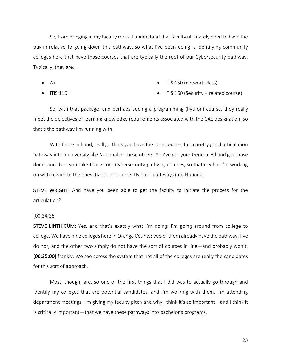So, from bringing in my faculty roots, I understand that faculty ultimately need to have the buy-in relative to going down this pathway, so what I've been doing is identifying community colleges here that have those courses that are typically the root of our Cybersecurity pathway. Typically, they are…

- $A+$
- ITIS 110
- ITIS 150 (network class)
- ITIS 160 (Security + related course)

So, with that package, and perhaps adding a programming (Python) course, they really meet the objectives of learning knowledge requirements associated with the CAE designation, so that's the pathway I'm running with.

With those in hand, really, I think you have the core courses for a pretty good articulation pathway into a university like National or these others. You've got your General Ed and get those done, and then you take those core Cybersecurity pathway courses, so that is what I'm working on with regard to the ones that do not currently have pathways into National.

**STEVE WRIGHT:** And have you been able to get the faculty to initiate the process for the articulation?

#### [00:34:38]

STEVE LINTHICUM: Yes, and that's exactly what I'm doing: I'm going around from college to college. We have nine colleges here in Orange County: two of them already have the pathway, five do not, and the other two simply do not have the sort of courses in line—and probably won't, [00:35:00] frankly. We see across the system that not all of the colleges are really the candidates for this sort of approach.

Most, though, are, so one of the first things that I did was to actually go through and identify my colleges that are potential candidates, and I'm working with them. I'm attending department meetings. I'm giving my faculty pitch and why I think it's so important—and I think it is critically important—that we have these pathways into bachelor's programs.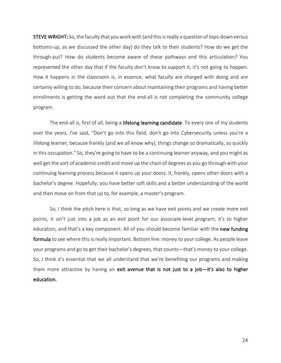STEVE WRIGHT: So, the faculty that you work with (and this is really a question of tops-down versus bottoms-up, as we discussed the other day) do they talk to their students? How do we get the through-put? How do students become aware of these pathways and this articulation? You represented the other day that if the faculty don't know to support it, it's not going to happen. How it happens in the classroom is, in essence, what faculty are charged with doing and are certainly willing to do, because their concern about maintaining their programs and having better enrollments is getting the word out that the end-all is not completing the community college program.

The end-all is, first of all, being a lifelong learning candidate. To every one of my students over the years, I've said, "Don't go into this field, don't go into Cybersecurity unless you're a lifelong learner, because frankly (and we all know why), things change so dramatically, so quickly in this occupation." So, they're going to have to be a continuing learner anyway, and you might as well get the sort of academic credit and move up the chain of degrees as you go through with your continuing learning process because it opens up your doors. It, frankly, opens other doors with a bachelor's degree. Hopefully, you have better soft skills and a better understanding of the world and then move on from that up to, for example, a master's program.

So, I think the pitch here is that, so long as we have exit points and we create more exit points, it isn't just into a job as an exit point for our associate-level program; it's to higher education, and that's a key component. All of you should become familiar with the new funding formula to see where this is really important. Bottom line: money to your college. As people leave your programs and go to get their bachelor's degrees, that counts—that's money to your college. So, I think it's essential that we all understand that we're benefiting our programs and making them more attractive by having an exit avenue that is not just to a job-it's also to higher education.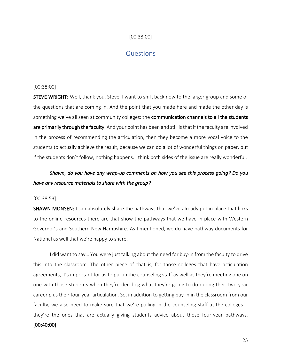## [00:38:00]

# **Questions**

#### [00:38:00]

STEVE WRIGHT: Well, thank you, Steve. I want to shift back now to the larger group and some of the questions that are coming in. And the point that you made here and made the other day is something we've all seen at community colleges: the **communication channels to all the students** are primarily through the faculty. And your point has been and still is that if the faculty are involved in the process of recommending the articulation, then they become a more vocal voice to the students to actually achieve the result, because we can do a lot of wonderful things on paper, but if the students don't follow, nothing happens. I think both sides of the issue are really wonderful.

# *Shawn, do you have any wrap-up comments on how you see this process going? Do you have any resource materials to share with the group?*

#### [00:38:53]

SHAWN MONSEN: I can absolutely share the pathways that we've already put in place that links to the online resources there are that show the pathways that we have in place with Western Governor's and Southern New Hampshire. As I mentioned, we do have pathway documents for National as well that we're happy to share.

I did want to say… You were just talking about the need for buy-in from the faculty to drive this into the classroom. The other piece of that is, for those colleges that have articulation agreements, it's important for us to pull in the counseling staff as well as they're meeting one on one with those students when they're deciding what they're going to do during their two-year career plus their four-year articulation. So, in addition to getting buy-in in the classroom from our faculty, we also need to make sure that we're pulling in the counseling staff at the colleges they're the ones that are actually giving students advice about those four-year pathways. [00:40:00]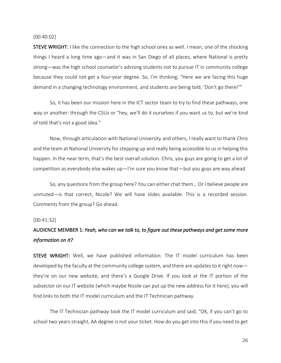#### [00:40:02]

**STEVE WRIGHT:** I like the connection to the high school ones as well. I mean, one of the shocking things I heard a long time ago—and it was in San Diego of all places, where National is pretty strong—was the high school counselor's advising students not to pursue IT in community college because they could not get a four-year degree. So, I'm thinking, "Here we are facing this huge demand in a changing technology environment, and students are being told, 'Don't go there!'"

So, it has been our mission here in the ICT sector team to try to find these pathways, one way or another: through the CSUs or "hey, we'll do it ourselves if you want us to, but we're kind of told that's not a good idea."

Now, through articulation with National University and others, I really want to thank Chris and the team at National University for stepping up and really being accessible to us in helping this happen. In the near term, that's the best overall solution. Chris, you guys are going to get a lot of competition as everybody else wakes up—I'm sure you know that—but you guys are way ahead.

So, any questions from the group here? You can either chat them… Or I believe people are unmuted—is that correct, Nicole? We will have slides available. This is a recorded session. Comments from the group? Go ahead.

#### [00:41:32]

# AUDIENCE MEMBER 1: *Yeah, who can we talk to, to figure out these pathways and get some more information on it?*

STEVE WRIGHT: Well, we have published information. The IT model curriculum has been developed by the faculty at the community college system, and there are updates to it right now they're on our new website, and there's a Google Drive. If you look at the IT portion of the subsector on our IT website (which maybe Nicole can put up the new address for it here), you will find links to both the IT model curriculum and the IT Technician pathway.

The IT Technician pathway took the IT model curriculum and said, "OK, if you can't go to school two years straight, AA degree is not your ticket. How do you get into this if you need to get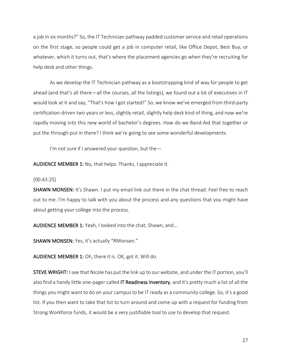a job in six months?" So, the IT Technician pathway padded customer service and retail operations on the first stage, so people could get a job in computer retail, like Office Depot, Best Buy, or whatever, which it turns out, that's where the placement agencies go when they're recruiting for help desk and other things.

As we develop the IT Technician pathway as a bootstrapping kind of way for people to get ahead (and that's all there—all the courses, all the listings), we found out a lot of executives in IT would look at it and say, "That's how I got started!" So, we know we've emerged from third-party certification-driven two years or less, slightly retail, slightly help desk kind of thing, and now we're rapidly moving into this new world of bachelor's degrees. How do we Band-Aid that together or put the through-put in there? I think we're going to see some wonderful developments.

I'm not sure if I answered your question, but the—

AUDIENCE MEMBER 1: No, that helps. Thanks, I appreciate it.

[00:43:25]

SHAWN MONSEN: It's Shawn. I put my email link out there in the chat thread. Feel free to reach out to me. I'm happy to talk with you about the process and any questions that you might have about getting your college into the process.

AUDIENCE MEMBER 1: Yeah, I looked into the chat, Shawn, and…

SHAWN MONSEN: Yes, it's actually "RMonsen."

AUDIENCE MEMBER 1: Oh, there it is. OK, got it. Will do.

STEVE WRIGHT: I see that Nicole has put the link up to our website, and under the IT portion, you'll also find a handy little one-pager called IT Readiness Inventory, and it's pretty much a list of all the things you might want to do on your campus to be IT ready as a community college. So, it's a good list. If you then want to take that list to turn around and come up with a request for funding from Strong Workforce funds, it would be a very justifiable tool to use to develop that request.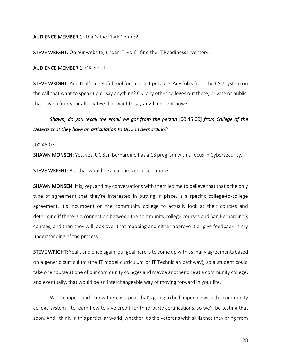AUDIENCE MEMBER 1: That's the Clark Center?

STEVE WRIGHT: On our website, under IT, you'll find the IT Readiness Inventory.

AUDIENCE MEMBER 1: OK, got it.

STEVE WRIGHT: And that's a helpful tool for just that purpose. Any folks from the CSU system on the call that want to speak up or say anything? OK, any other colleges out there, private or public, that have a four-year alternative that want to say anything right now?

# *Shawn, do you recall the email we got from the person* [00:45:00] *from College of the Deserts that they have an articulation to UC San Bernardino?*

#### [00:45:07]

SHAWN MONSEN: Yes, yes. UC San Bernardino has a CS program with a focus in Cybersecurity.

STEVE WRIGHT: But that would be a customized articulation?

SHAWN MONSEN: It is, yep, and my conversations with them led me to believe that that's the only type of agreement that they're interested in putting in place, is a specific college-to-college agreement. It's incumbent on the community college to actually look at their courses and determine if there is a connection between the community college courses and San Bernardino's courses, and then they will look over that mapping and either approve it or give feedback, is my understanding of the process.

STEVE WRIGHT: Yeah, and once again, our goal here is to come up with as many agreements based on a generic curriculum (the IT model curriculum or IT Technician pathway), so a student could take one course at one of our community colleges and maybe another one at a community college, and eventually, that would be an interchangeable way of moving forward in your life.

We do hope—and I know there is a pilot that's going to be happening with the community college system—to learn how to give credit for third-party certifications, so we'll be testing that soon. And I think, in this particular world, whether it's the veterans with skills that they bring from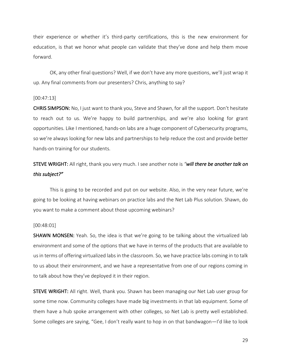their experience or whether it's third-party certifications, this is the new environment for education, is that we honor what people can validate that they've done and help them move forward.

OK, any other final questions? Well, if we don't have any more questions, we'll just wrap it up. Any final comments from our presenters? Chris, anything to say?

#### [00:47:13]

CHRIS SIMPSON: No, I just want to thank you, Steve and Shawn, for all the support. Don't hesitate to reach out to us. We're happy to build partnerships, and we're also looking for grant opportunities. Like I mentioned, hands-on labs are a huge component of Cybersecurity programs, so we're always looking for new labs and partnerships to help reduce the cost and provide better hands-on training for our students.

# STEVE WRIGHT: All right, thank you very much. I see another note is *"will there be another talk on this subject?"*

This is going to be recorded and put on our website. Also, in the very near future, we're going to be looking at having webinars on practice labs and the Net Lab Plus solution. Shawn, do you want to make a comment about those upcoming webinars?

## [00:48:01]

SHAWN MONSEN: Yeah. So, the idea is that we're going to be talking about the virtualized lab environment and some of the options that we have in terms of the products that are available to us in terms of offering virtualized labs in the classroom. So, we have practice labs coming in to talk to us about their environment, and we have a representative from one of our regions coming in to talk about how they've deployed it in their region.

STEVE WRIGHT: All right. Well, thank you. Shawn has been managing our Net Lab user group for some time now. Community colleges have made big investments in that lab equipment. Some of them have a hub spoke arrangement with other colleges, so Net Lab is pretty well established. Some colleges are saying, "Gee, I don't really want to hop in on that bandwagon—I'd like to look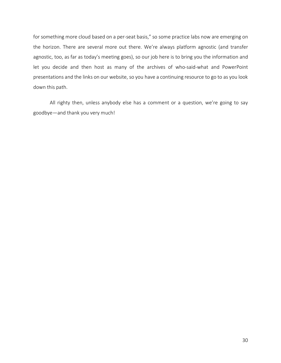for something more cloud based on a per-seat basis," so some practice labs now are emerging on the horizon. There are several more out there. We're always platform agnostic (and transfer agnostic, too, as far as today's meeting goes), so our job here is to bring you the information and let you decide and then host as many of the archives of who-said-what and PowerPoint presentations and the links on our website, so you have a continuing resource to go to as you look down this path.

All righty then, unless anybody else has a comment or a question, we're going to say goodbye—and thank you very much!